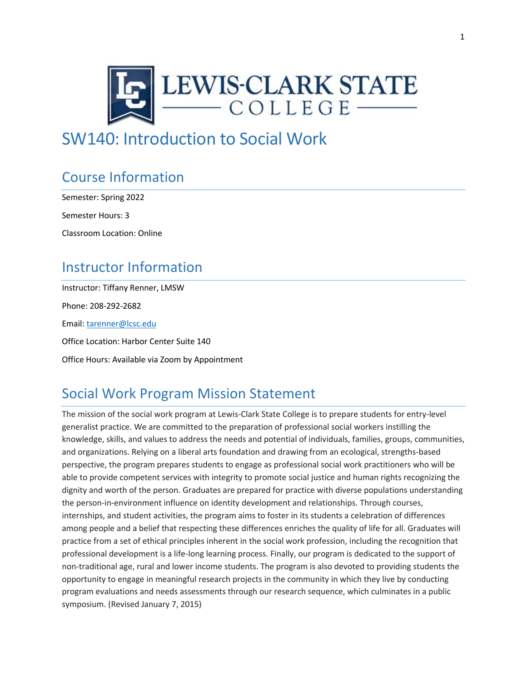

# SW140: Introduction to Social Work

# Course Information

Semester: Spring 2022

Semester Hours: 3

Classroom Location: Online

## Instructor Information

Instructor: Tiffany Renner, LMSW Phone: 208-292-2682 Email[: tarenner@lcsc.edu](mailto:tarenner@lcsc.edu) Office Location: Harbor Center Suite 140 Office Hours: Available via Zoom by Appointment

# Social Work Program Mission Statement

The mission of the social work program at Lewis-Clark State College is to prepare students for entry-level generalist practice. We are committed to the preparation of professional social workers instilling the knowledge, skills, and values to address the needs and potential of individuals, families, groups, communities, and organizations. Relying on a liberal arts foundation and drawing from an ecological, strengths-based perspective, the program prepares students to engage as professional social work practitioners who will be able to provide competent services with integrity to promote social justice and human rights recognizing the dignity and worth of the person. Graduates are prepared for practice with diverse populations understanding the person-in-environment influence on identity development and relationships. Through courses, internships, and student activities, the program aims to foster in its students a celebration of differences among people and a belief that respecting these differences enriches the quality of life for all. Graduates will practice from a set of ethical principles inherent in the social work profession, including the recognition that professional development is a life-long learning process. Finally, our program is dedicated to the support of non-traditional age, rural and lower income students. The program is also devoted to providing students the opportunity to engage in meaningful research projects in the community in which they live by conducting program evaluations and needs assessments through our research sequence, which culminates in a public symposium. (Revised January 7, 2015)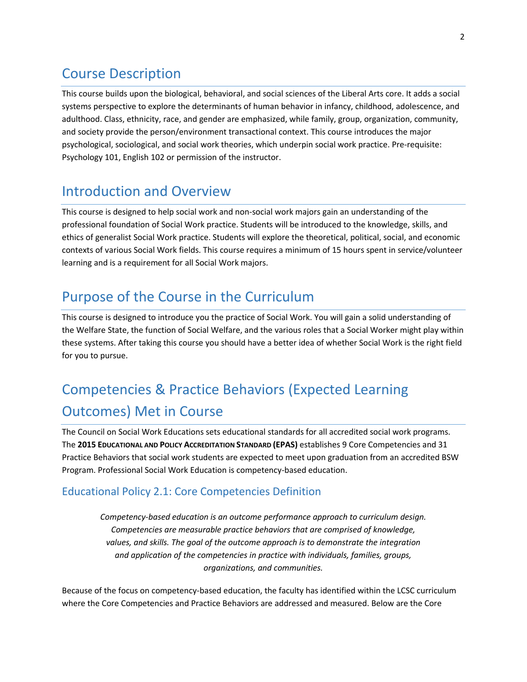### Course Description

This course builds upon the biological, behavioral, and social sciences of the Liberal Arts core. It adds a social systems perspective to explore the determinants of human behavior in infancy, childhood, adolescence, and adulthood. Class, ethnicity, race, and gender are emphasized, while family, group, organization, community, and society provide the person/environment transactional context. This course introduces the major psychological, sociological, and social work theories, which underpin social work practice. Pre-requisite: Psychology 101, English 102 or permission of the instructor.

### Introduction and Overview

This course is designed to help social work and non-social work majors gain an understanding of the professional foundation of Social Work practice. Students will be introduced to the knowledge, skills, and ethics of generalist Social Work practice. Students will explore the theoretical, political, social, and economic contexts of various Social Work fields. This course requires a minimum of 15 hours spent in service/volunteer learning and is a requirement for all Social Work majors.

# Purpose of the Course in the Curriculum

This course is designed to introduce you the practice of Social Work. You will gain a solid understanding of the Welfare State, the function of Social Welfare, and the various roles that a Social Worker might play within these systems. After taking this course you should have a better idea of whether Social Work is the right field for you to pursue.

# Competencies & Practice Behaviors (Expected Learning Outcomes) Met in Course

The Council on Social Work Educations sets educational standards for all accredited social work programs. The **2015 EDUCATIONAL AND POLICY ACCREDITATION STANDARD (EPAS)** establishes 9 Core Competencies and 31 Practice Behaviors that social work students are expected to meet upon graduation from an accredited BSW Program. Professional Social Work Education is competency-based education.

#### Educational Policy 2.1: Core Competencies Definition

*Competency-based education is an outcome performance approach to curriculum design. Competencies are measurable practice behaviors that are comprised of knowledge, values, and skills. The goal of the outcome approach is to demonstrate the integration and application of the competencies in practice with individuals, families, groups, organizations, and communities.*

Because of the focus on competency-based education, the faculty has identified within the LCSC curriculum where the Core Competencies and Practice Behaviors are addressed and measured. Below are the Core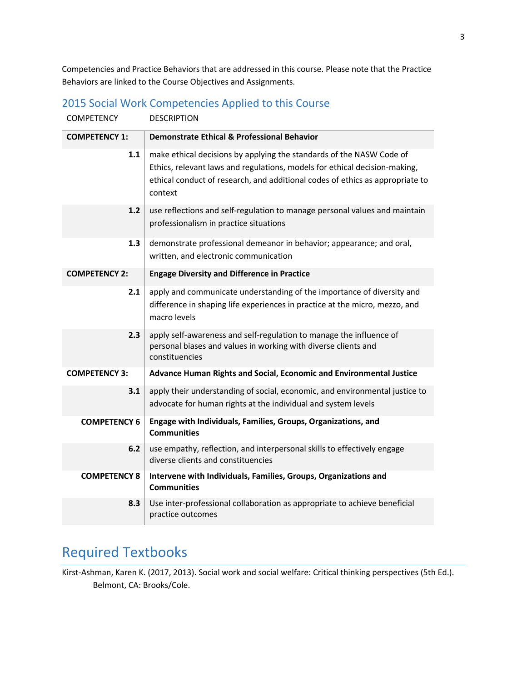Competencies and Practice Behaviors that are addressed in this course. Please note that the Practice Behaviors are linked to the Course Objectives and Assignments.

| <b>COMPETENCY</b>    | <b>DESCRIPTION</b>                                                                                                                                                                                                                             |
|----------------------|------------------------------------------------------------------------------------------------------------------------------------------------------------------------------------------------------------------------------------------------|
| <b>COMPETENCY 1:</b> | <b>Demonstrate Ethical &amp; Professional Behavior</b>                                                                                                                                                                                         |
| 1.1                  | make ethical decisions by applying the standards of the NASW Code of<br>Ethics, relevant laws and regulations, models for ethical decision-making,<br>ethical conduct of research, and additional codes of ethics as appropriate to<br>context |
| 1.2                  | use reflections and self-regulation to manage personal values and maintain<br>professionalism in practice situations                                                                                                                           |
| 1.3                  | demonstrate professional demeanor in behavior; appearance; and oral,<br>written, and electronic communication                                                                                                                                  |
| <b>COMPETENCY 2:</b> | <b>Engage Diversity and Difference in Practice</b>                                                                                                                                                                                             |
| 2.1                  | apply and communicate understanding of the importance of diversity and<br>difference in shaping life experiences in practice at the micro, mezzo, and<br>macro levels                                                                          |
| 2.3                  | apply self-awareness and self-regulation to manage the influence of<br>personal biases and values in working with diverse clients and<br>constituencies                                                                                        |
| <b>COMPETENCY 3:</b> | Advance Human Rights and Social, Economic and Environmental Justice                                                                                                                                                                            |
| 3.1                  | apply their understanding of social, economic, and environmental justice to<br>advocate for human rights at the individual and system levels                                                                                                   |
| <b>COMPETENCY 6</b>  | Engage with Individuals, Families, Groups, Organizations, and<br><b>Communities</b>                                                                                                                                                            |
| 6.2                  | use empathy, reflection, and interpersonal skills to effectively engage<br>diverse clients and constituencies                                                                                                                                  |
| <b>COMPETENCY 8</b>  | Intervene with Individuals, Families, Groups, Organizations and<br><b>Communities</b>                                                                                                                                                          |
| 8.3                  | Use inter-professional collaboration as appropriate to achieve beneficial<br>practice outcomes                                                                                                                                                 |

#### 2015 Social Work Competencies Applied to this Course

## Required Textbooks

Kirst-Ashman, Karen K. (2017, 2013). Social work and social welfare: Critical thinking perspectives (5th Ed.). Belmont, CA: Brooks/Cole.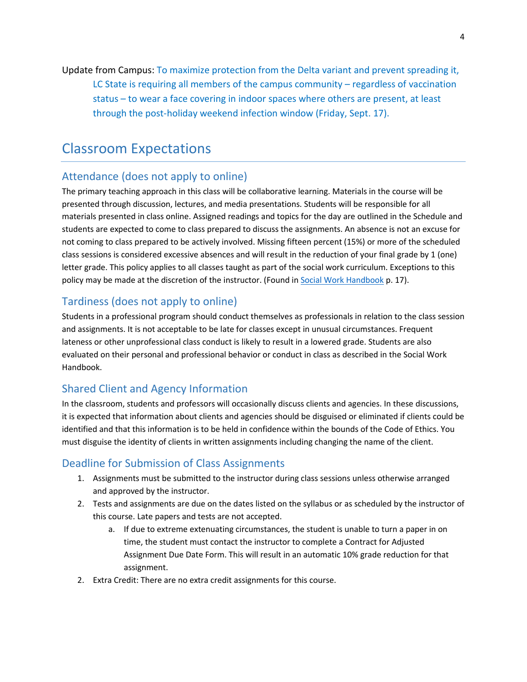Update from Campus: To maximize protection from the Delta variant and prevent spreading it, LC State is requiring all members of the campus community – regardless of vaccination status – to wear a face covering in indoor spaces where others are present, at least through the post-holiday weekend infection window (Friday, Sept. 17).

### Classroom Expectations

#### Attendance (does not apply to online)

The primary teaching approach in this class will be collaborative learning. Materials in the course will be presented through discussion, lectures, and media presentations. Students will be responsible for all materials presented in class online. Assigned readings and topics for the day are outlined in the Schedule and students are expected to come to class prepared to discuss the assignments. An absence is not an excuse for not coming to class prepared to be actively involved. Missing fifteen percent (15%) or more of the scheduled class sessions is considered excessive absences and will result in the reduction of your final grade by 1 (one) letter grade. This policy applies to all classes taught as part of the social work curriculum. Exceptions to this policy may be made at the discretion of the instructor. (Found i[n Social Work Handbook](http://www.lcsc.edu/media/5056910/SOCIAL-WORK-STUDENT-HANDBOOK-6-5-2017.pdf) p. 17).

#### Tardiness (does not apply to online)

Students in a professional program should conduct themselves as professionals in relation to the class session and assignments. It is not acceptable to be late for classes except in unusual circumstances. Frequent lateness or other unprofessional class conduct is likely to result in a lowered grade. Students are also evaluated on their personal and professional behavior or conduct in class as described in the Social Work Handbook.

#### Shared Client and Agency Information

In the classroom, students and professors will occasionally discuss clients and agencies. In these discussions, it is expected that information about clients and agencies should be disguised or eliminated if clients could be identified and that this information is to be held in confidence within the bounds of the Code of Ethics. You must disguise the identity of clients in written assignments including changing the name of the client.

#### Deadline for Submission of Class Assignments

- 1. Assignments must be submitted to the instructor during class sessions unless otherwise arranged and approved by the instructor.
- 2. Tests and assignments are due on the dates listed on the syllabus or as scheduled by the instructor of this course. Late papers and tests are not accepted.
	- a. If due to extreme extenuating circumstances, the student is unable to turn a paper in on time, the student must contact the instructor to complete a Contract for Adjusted Assignment Due Date Form. This will result in an automatic 10% grade reduction for that assignment.
- 2. Extra Credit: There are no extra credit assignments for this course.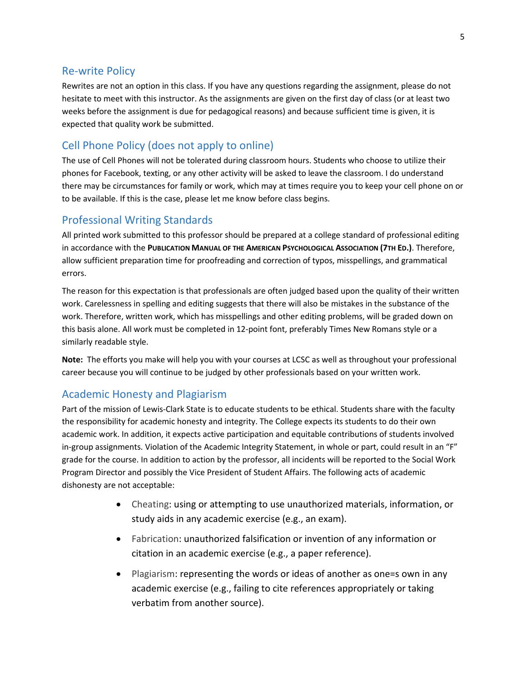#### Re-write Policy

Rewrites are not an option in this class. If you have any questions regarding the assignment, please do not hesitate to meet with this instructor. As the assignments are given on the first day of class (or at least two weeks before the assignment is due for pedagogical reasons) and because sufficient time is given, it is expected that quality work be submitted.

#### Cell Phone Policy (does not apply to online)

The use of Cell Phones will not be tolerated during classroom hours. Students who choose to utilize their phones for Facebook, texting, or any other activity will be asked to leave the classroom. I do understand there may be circumstances for family or work, which may at times require you to keep your cell phone on or to be available. If this is the case, please let me know before class begins.

#### Professional Writing Standards

All printed work submitted to this professor should be prepared at a college standard of professional editing in accordance with the **PUBLICATION MANUAL OF THE AMERICAN PSYCHOLOGICAL ASSOCIATION (7TH ED.)**. Therefore, allow sufficient preparation time for proofreading and correction of typos, misspellings, and grammatical errors.

The reason for this expectation is that professionals are often judged based upon the quality of their written work. Carelessness in spelling and editing suggests that there will also be mistakes in the substance of the work. Therefore, written work, which has misspellings and other editing problems, will be graded down on this basis alone. All work must be completed in 12-point font, preferably Times New Romans style or a similarly readable style.

**Note:** The efforts you make will help you with your courses at LCSC as well as throughout your professional career because you will continue to be judged by other professionals based on your written work.

#### Academic Honesty and Plagiarism

Part of the mission of Lewis-Clark State is to educate students to be ethical. Students share with the faculty the responsibility for academic honesty and integrity. The College expects its students to do their own academic work. In addition, it expects active participation and equitable contributions of students involved in-group assignments. Violation of the Academic Integrity Statement, in whole or part, could result in an "F" grade for the course. In addition to action by the professor, all incidents will be reported to the Social Work Program Director and possibly the Vice President of Student Affairs. The following acts of academic dishonesty are not acceptable:

- Cheating: using or attempting to use unauthorized materials, information, or study aids in any academic exercise (e.g., an exam).
- Fabrication: unauthorized falsification or invention of any information or citation in an academic exercise (e.g., a paper reference).
- Plagiarism: representing the words or ideas of another as one=s own in any academic exercise (e.g., failing to cite references appropriately or taking verbatim from another source).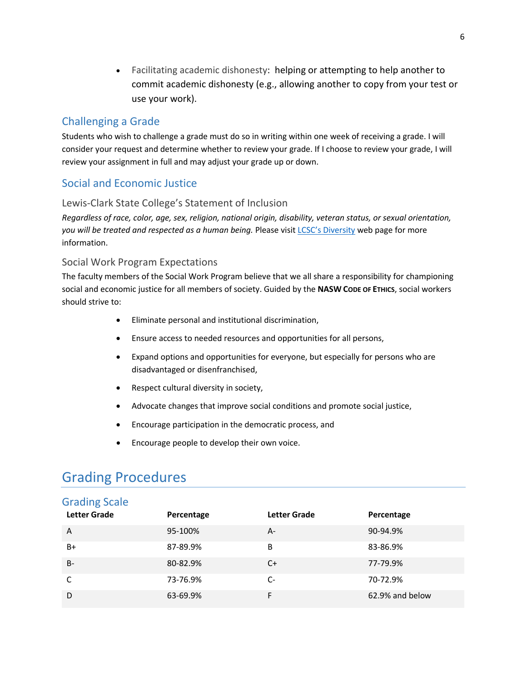• Facilitating academic dishonesty: helping or attempting to help another to commit academic dishonesty (e.g., allowing another to copy from your test or use your work).

#### Challenging a Grade

Students who wish to challenge a grade must do so in writing within one week of receiving a grade. I will consider your request and determine whether to review your grade. If I choose to review your grade, I will review your assignment in full and may adjust your grade up or down.

#### Social and Economic Justice

#### Lewis-Clark State College's Statement of Inclusion

*Regardless of race, color, age, sex, religion, national origin, disability, veteran status, or sexual orientation, you will be treated and respected as a human being.* Please visit [LCSC's Diversity](http://www.lcsc.edu/diversity/) web page for more information.

#### Social Work Program Expectations

The faculty members of the Social Work Program believe that we all share a responsibility for championing social and economic justice for all members of society. Guided by the **NASW CODE OF ETHICS**, social workers should strive to:

- Eliminate personal and institutional discrimination,
- Ensure access to needed resources and opportunities for all persons,
- Expand options and opportunities for everyone, but especially for persons who are disadvantaged or disenfranchised,
- Respect cultural diversity in society,
- Advocate changes that improve social conditions and promote social justice,
- Encourage participation in the democratic process, and
- Encourage people to develop their own voice.

### Grading Procedures

#### Grading Scale

| <b>Letter Grade</b> | Percentage | <b>Letter Grade</b> | Percentage      |
|---------------------|------------|---------------------|-----------------|
| $\overline{A}$      | 95-100%    | A-                  | 90-94.9%        |
| $B+$                | 87-89.9%   | B                   | 83-86.9%        |
| $B -$               | 80-82.9%   | C+                  | 77-79.9%        |
| C                   | 73-76.9%   | $C-$                | 70-72.9%        |
| D                   | 63-69.9%   | F                   | 62.9% and below |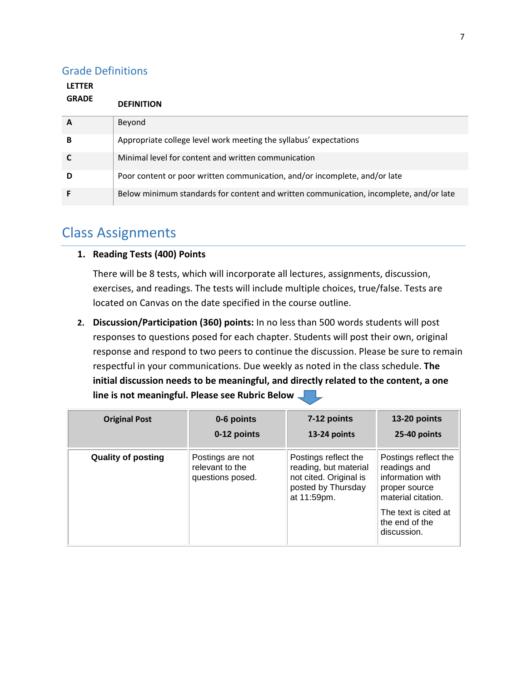#### Grade Definitions

| <b>LETTER</b> |                                                                                        |
|---------------|----------------------------------------------------------------------------------------|
| <b>GRADE</b>  | <b>DEFINITION</b>                                                                      |
| A             | Beyond                                                                                 |
| в             | Appropriate college level work meeting the syllabus' expectations                      |
|               | Minimal level for content and written communication                                    |
| D             | Poor content or poor written communication, and/or incomplete, and/or late             |
|               | Below minimum standards for content and written communication, incomplete, and/or late |

### Class Assignments

#### **1. Reading Tests (400) Points**

There will be 8 tests, which will incorporate all lectures, assignments, discussion, exercises, and readings. The tests will include multiple choices, true/false. Tests are located on Canvas on the date specified in the course outline.

**2. Discussion/Participation (360) points:** In no less than 500 words students will post responses to questions posed for each chapter. Students will post their own, original response and respond to two peers to continue the discussion. Please be sure to remain respectful in your communications. Due weekly as noted in the class schedule. **The initial discussion needs to be meaningful, and directly related to the content, a one line is not meaningful. Please see Rubric Below**

| <b>Original Post</b>      | 0-6 points                                              | 7-12 points                                                                                                  | 13-20 points                                                                                                                                             |
|---------------------------|---------------------------------------------------------|--------------------------------------------------------------------------------------------------------------|----------------------------------------------------------------------------------------------------------------------------------------------------------|
|                           | 0-12 points                                             | 13-24 points                                                                                                 | 25-40 points                                                                                                                                             |
| <b>Quality of posting</b> | Postings are not<br>relevant to the<br>questions posed. | Postings reflect the<br>reading, but material<br>not cited. Original is<br>posted by Thursday<br>at 11:59pm. | Postings reflect the<br>readings and<br>information with<br>proper source<br>material citation.<br>The text is cited at<br>the end of the<br>discussion. |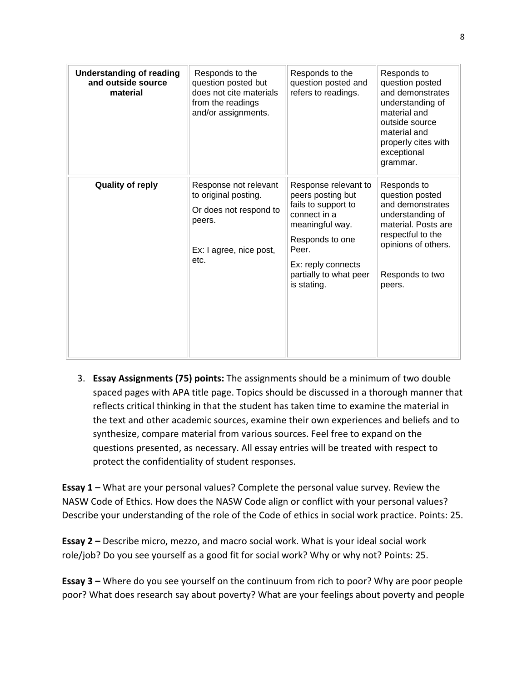| <b>Understanding of reading</b><br>and outside source<br>material | Responds to the<br>question posted but<br>does not cite materials<br>from the readings<br>and/or assignments.        | Responds to the<br>question posted and<br>refers to readings.                                                                                                                                  | Responds to<br>question posted<br>and demonstrates<br>understanding of<br>material and<br>outside source<br>material and<br>properly cites with<br>exceptional<br>grammar. |
|-------------------------------------------------------------------|----------------------------------------------------------------------------------------------------------------------|------------------------------------------------------------------------------------------------------------------------------------------------------------------------------------------------|----------------------------------------------------------------------------------------------------------------------------------------------------------------------------|
| <b>Quality of reply</b>                                           | Response not relevant<br>to original posting.<br>Or does not respond to<br>peers.<br>Ex: I agree, nice post,<br>etc. | Response relevant to<br>peers posting but<br>fails to support to<br>connect in a<br>meaningful way.<br>Responds to one<br>Peer.<br>Ex: reply connects<br>partially to what peer<br>is stating. | Responds to<br>question posted<br>and demonstrates<br>understanding of<br>material. Posts are<br>respectful to the<br>opinions of others.<br>Responds to two<br>peers.     |

3. **Essay Assignments (75) points:** The assignments should be a minimum of two double spaced pages with APA title page. Topics should be discussed in a thorough manner that reflects critical thinking in that the student has taken time to examine the material in the text and other academic sources, examine their own experiences and beliefs and to synthesize, compare material from various sources. Feel free to expand on the questions presented, as necessary. All essay entries will be treated with respect to protect the confidentiality of student responses.

**Essay 1 –** What are your personal values? Complete the personal value survey. Review the NASW Code of Ethics. How does the NASW Code align or conflict with your personal values? Describe your understanding of the role of the Code of ethics in social work practice. Points: 25.

**Essay 2 –** Describe micro, mezzo, and macro social work. What is your ideal social work role/job? Do you see yourself as a good fit for social work? Why or why not? Points: 25.

**Essay 3 –** Where do you see yourself on the continuum from rich to poor? Why are poor people poor? What does research say about poverty? What are your feelings about poverty and people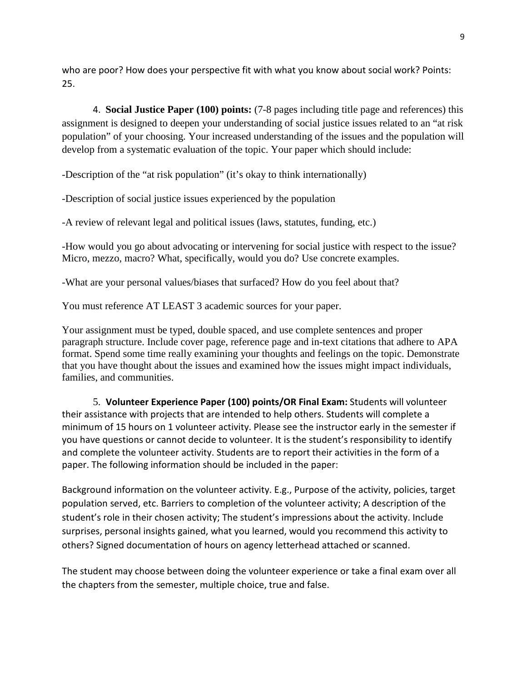who are poor? How does your perspective fit with what you know about social work? Points: 25.

4. **Social Justice Paper (100) points:** (7-8 pages including title page and references) this assignment is designed to deepen your understanding of social justice issues related to an "at risk population" of your choosing. Your increased understanding of the issues and the population will develop from a systematic evaluation of the topic. Your paper which should include:

-Description of the "at risk population" (it's okay to think internationally)

-Description of social justice issues experienced by the population

-A review of relevant legal and political issues (laws, statutes, funding, etc.)

-How would you go about advocating or intervening for social justice with respect to the issue? Micro, mezzo, macro? What, specifically, would you do? Use concrete examples.

-What are your personal values/biases that surfaced? How do you feel about that?

You must reference AT LEAST 3 academic sources for your paper.

Your assignment must be typed, double spaced, and use complete sentences and proper paragraph structure. Include cover page, reference page and in-text citations that adhere to APA format. Spend some time really examining your thoughts and feelings on the topic. Demonstrate that you have thought about the issues and examined how the issues might impact individuals, families, and communities.

5. **Volunteer Experience Paper (100) points/OR Final Exam:** Students will volunteer their assistance with projects that are intended to help others. Students will complete a minimum of 15 hours on 1 volunteer activity. Please see the instructor early in the semester if you have questions or cannot decide to volunteer. It is the student's responsibility to identify and complete the volunteer activity. Students are to report their activities in the form of a paper. The following information should be included in the paper:

Background information on the volunteer activity. E.g., Purpose of the activity, policies, target population served, etc. Barriers to completion of the volunteer activity; A description of the student's role in their chosen activity; The student's impressions about the activity. Include surprises, personal insights gained, what you learned, would you recommend this activity to others? Signed documentation of hours on agency letterhead attached or scanned.

The student may choose between doing the volunteer experience or take a final exam over all the chapters from the semester, multiple choice, true and false.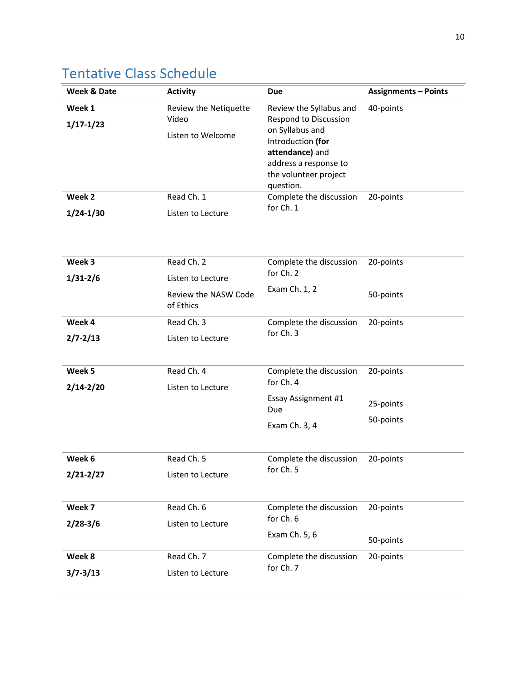# Tentative Class Schedule

| Week & Date   | <b>Activity</b>                   | <b>Due</b>                                                          | <b>Assignments - Points</b> |
|---------------|-----------------------------------|---------------------------------------------------------------------|-----------------------------|
| Week 1        | Review the Netiquette             | Review the Syllabus and<br>Respond to Discussion<br>on Syllabus and | 40-points                   |
| $1/17 - 1/23$ | Video                             |                                                                     |                             |
|               | Listen to Welcome                 | Introduction (for                                                   |                             |
|               |                                   | attendance) and                                                     |                             |
|               |                                   | address a response to                                               |                             |
|               |                                   | the volunteer project<br>question.                                  |                             |
| Week 2        | Read Ch. 1                        | Complete the discussion                                             | 20-points                   |
| $1/24 - 1/30$ | Listen to Lecture                 | for Ch. 1                                                           |                             |
| Week 3        |                                   |                                                                     |                             |
|               | Read Ch. 2                        | Complete the discussion<br>for Ch. 2                                | 20-points                   |
| $1/31 - 2/6$  | Listen to Lecture                 | Exam Ch. 1, 2                                                       |                             |
|               | Review the NASW Code<br>of Ethics |                                                                     | 50-points                   |
| Week 4        | Read Ch. 3                        | Complete the discussion                                             | 20-points                   |
| $2/7 - 2/13$  | Listen to Lecture                 | for Ch. 3                                                           |                             |
| Week 5        | Read Ch. 4                        | Complete the discussion                                             | 20-points                   |
| $2/14 - 2/20$ | Listen to Lecture                 | for Ch. 4                                                           |                             |
|               |                                   | Essay Assignment #1<br>Due                                          | 25-points                   |
|               |                                   | Exam Ch. 3, 4                                                       | 50-points                   |
| Week 6        | Read Ch. 5                        | Complete the discussion<br>for Ch. 5                                | 20-points                   |
| $2/21 - 2/27$ | Listen to Lecture                 |                                                                     |                             |
|               |                                   |                                                                     |                             |
| Week 7        | Read Ch. 6                        | Complete the discussion                                             | 20-points                   |
| $2/28-3/6$    | Listen to Lecture                 | for Ch. 6                                                           |                             |
|               | Exam Ch. 5, 6                     |                                                                     | 50-points                   |
| Week 8        | Read Ch. 7                        | Complete the discussion                                             | 20-points                   |
|               |                                   | for Ch. 7                                                           |                             |